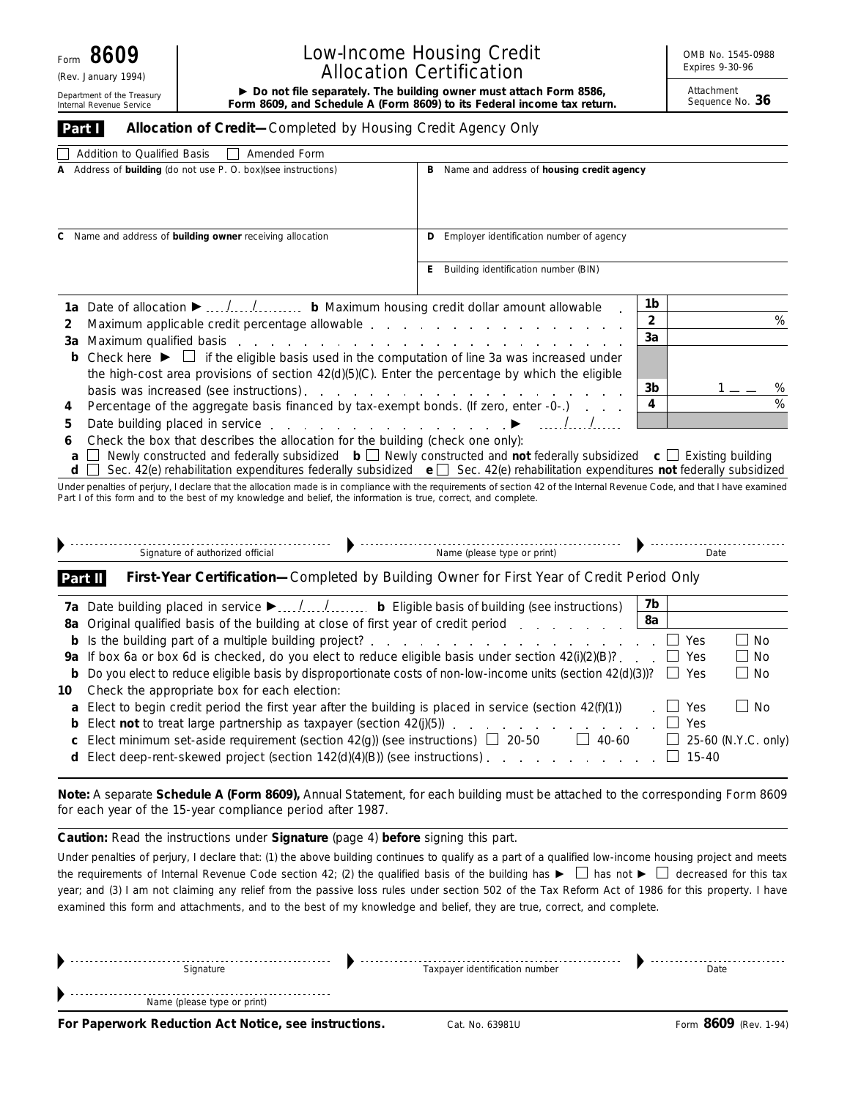(Rev. January 1994)

## Low-Income Housing Credit Allocation Certification

Attachment

| Department of the Treasury<br>Internal Revenue Service                                              |                                                                                                                           | $\triangleright$ Do not file separately. The building owner must attach Form 8586,<br>Form 8609, and Schedule A (Form 8609) to its Federal income tax return. |                                                                                                                                                                                                                                                                                                   |                                             | Attachment<br>Sequence No. 36 |                     |  |  |
|-----------------------------------------------------------------------------------------------------|---------------------------------------------------------------------------------------------------------------------------|---------------------------------------------------------------------------------------------------------------------------------------------------------------|---------------------------------------------------------------------------------------------------------------------------------------------------------------------------------------------------------------------------------------------------------------------------------------------------|---------------------------------------------|-------------------------------|---------------------|--|--|
| Part I                                                                                              |                                                                                                                           | Allocation of Credit-Completed by Housing Credit Agency Only                                                                                                  |                                                                                                                                                                                                                                                                                                   |                                             |                               |                     |  |  |
|                                                                                                     | Addition to Qualified Basis                                                                                               | Amended Form                                                                                                                                                  |                                                                                                                                                                                                                                                                                                   |                                             |                               |                     |  |  |
| A Address of building (do not use P. O. box)(see instructions)                                      |                                                                                                                           |                                                                                                                                                               |                                                                                                                                                                                                                                                                                                   | B Name and address of housing credit agency |                               |                     |  |  |
|                                                                                                     |                                                                                                                           |                                                                                                                                                               |                                                                                                                                                                                                                                                                                                   |                                             |                               |                     |  |  |
|                                                                                                     |                                                                                                                           | C Name and address of building owner receiving allocation                                                                                                     | <b>D</b> Employer identification number of agency                                                                                                                                                                                                                                                 |                                             |                               |                     |  |  |
|                                                                                                     |                                                                                                                           |                                                                                                                                                               | <b>E</b> Building identification number (BIN)                                                                                                                                                                                                                                                     |                                             |                               |                     |  |  |
|                                                                                                     |                                                                                                                           | 1a Date of allocation $\blacktriangleright$ // b Maximum housing credit dollar amount allowable                                                               |                                                                                                                                                                                                                                                                                                   | 1b                                          |                               |                     |  |  |
| 2                                                                                                   |                                                                                                                           |                                                                                                                                                               | Maximum applicable credit percentage allowable expansion and all expansion and an analysis of the Maximum applicable credit percentage allowable expansion and all expansion and all expansion and all expansion and all expan                                                                    | $\overline{2}$                              |                               | %                   |  |  |
|                                                                                                     |                                                                                                                           |                                                                                                                                                               |                                                                                                                                                                                                                                                                                                   | 3a                                          |                               |                     |  |  |
|                                                                                                     |                                                                                                                           |                                                                                                                                                               | <b>b</b> Check here $\blacktriangleright \Box$ if the eligible basis used in the computation of line 3a was increased under                                                                                                                                                                       |                                             |                               |                     |  |  |
|                                                                                                     |                                                                                                                           |                                                                                                                                                               | the high-cost area provisions of section 42(d)(5)(C). Enter the percentage by which the eligible                                                                                                                                                                                                  |                                             |                               |                     |  |  |
|                                                                                                     |                                                                                                                           |                                                                                                                                                               |                                                                                                                                                                                                                                                                                                   | 3b                                          |                               | %                   |  |  |
| 4                                                                                                   |                                                                                                                           |                                                                                                                                                               | Percentage of the aggregate basis financed by tax-exempt bonds. (If zero, enter -0-.)                                                                                                                                                                                                             | 4                                           |                               | %                   |  |  |
| 5                                                                                                   | .<br>Date building placed in service enter a contract of the building placed in service enter a contract of the building  |                                                                                                                                                               |                                                                                                                                                                                                                                                                                                   |                                             |                               |                     |  |  |
| 6<br>a<br>d                                                                                         |                                                                                                                           | Check the box that describes the allocation for the building (check one only):                                                                                | Newly constructed and federally subsidized $\mathbf{b} \square$ Newly constructed and not federally subsidized $\mathbf{c} \square$ Existing building<br>Sec. 42(e) rehabilitation expenditures federally subsidized $\mathbf{e}$ Sec. 42(e) rehabilitation expenditures not federally subsidized |                                             |                               |                     |  |  |
|                                                                                                     |                                                                                                                           | Part I of this form and to the best of my knowledge and belief, the information is true, correct, and complete.                                               | Under penalties of perjury, I declare that the allocation made is in compliance with the requirements of section 42 of the Internal Revenue Code, and that I have examined                                                                                                                        |                                             |                               |                     |  |  |
|                                                                                                     |                                                                                                                           | Signature of authorized official                                                                                                                              |                                                                                                                                                                                                                                                                                                   |                                             | Date                          |                     |  |  |
|                                                                                                     | Part II                                                                                                                   |                                                                                                                                                               | First-Year Certification-Completed by Building Owner for First Year of Credit Period Only                                                                                                                                                                                                         |                                             |                               |                     |  |  |
|                                                                                                     |                                                                                                                           |                                                                                                                                                               |                                                                                                                                                                                                                                                                                                   | 7b                                          |                               |                     |  |  |
|                                                                                                     |                                                                                                                           |                                                                                                                                                               | 8a Original qualified basis of the building at close of first year of credit period                                                                                                                                                                                                               | 8a                                          |                               |                     |  |  |
|                                                                                                     |                                                                                                                           |                                                                                                                                                               | <b>b</b> Is the building part of a multiple building project?                                                                                                                                                                                                                                     |                                             | Yes                           | ⊥ No                |  |  |
|                                                                                                     | 9a If box 6a or box 6d is checked, do you elect to reduce eligible basis under section 42(i)(2)(B)?                       |                                                                                                                                                               |                                                                                                                                                                                                                                                                                                   |                                             |                               | No                  |  |  |
|                                                                                                     |                                                                                                                           |                                                                                                                                                               | <b>b</b> Do you elect to reduce eligible basis by disproportionate costs of non-low-income units (section $42(d)(3)$ )?                                                                                                                                                                           | $\mathbf{I}$                                | Yes                           | ∟ No                |  |  |
|                                                                                                     |                                                                                                                           | 10 Check the appropriate box for each election:                                                                                                               |                                                                                                                                                                                                                                                                                                   |                                             |                               |                     |  |  |
|                                                                                                     | <b>a</b> Elect to begin credit period the first year after the building is placed in service (section $42(f)(1)$ )<br>Yes |                                                                                                                                                               |                                                                                                                                                                                                                                                                                                   |                                             |                               |                     |  |  |
|                                                                                                     |                                                                                                                           |                                                                                                                                                               | <b>b</b> Elect <b>not</b> to treat large partnership as taxpayer (section $42(j)(5)$ )                                                                                                                                                                                                            |                                             | Yes                           |                     |  |  |
| Elect minimum set-aside requirement (section 42(g)) (see instructions) $\Box$ 20-50<br>$\Box$ 40-60 |                                                                                                                           |                                                                                                                                                               |                                                                                                                                                                                                                                                                                                   |                                             |                               | 25-60 (N.Y.C. only) |  |  |
|                                                                                                     |                                                                                                                           |                                                                                                                                                               |                                                                                                                                                                                                                                                                                                   |                                             | $15 - 40$                     |                     |  |  |
|                                                                                                     |                                                                                                                           |                                                                                                                                                               |                                                                                                                                                                                                                                                                                                   |                                             |                               |                     |  |  |
|                                                                                                     |                                                                                                                           | for each year of the 15-year compliance period after 1987.                                                                                                    | Note: A separate Schedule A (Form 8609), Annual Statement, for each building must be attached to the corresponding Form 8609                                                                                                                                                                      |                                             |                               |                     |  |  |

**Caution:** *Read the instructions under* **Signature** *(page 4) before signing this part.*

Under penalties of perjury, I declare that: (1) the above building continues to qualify as a part of a qualified low-income housing project and meets the requirements of Internal Revenue Code section 42; (2) the qualified basis of the building has  $\blacktriangleright \Box$  has not  $\blacktriangleright \Box$  decreased for this tax year; and (3) I am not claiming any relief from the passive loss rules under section 502 of the Tax Reform Act of 1986 for this property. I have examined this form and attachments, and to the best of my knowledge and belief, they are true, correct, and complete.

| Signature                   | Taxpayer identification number | Date |
|-----------------------------|--------------------------------|------|
| Name (please type or print) |                                |      |

**For Paperwork Reduction Act Notice, see instructions.** Cat. No. 63981U Form 8609 (Rev. 1-94)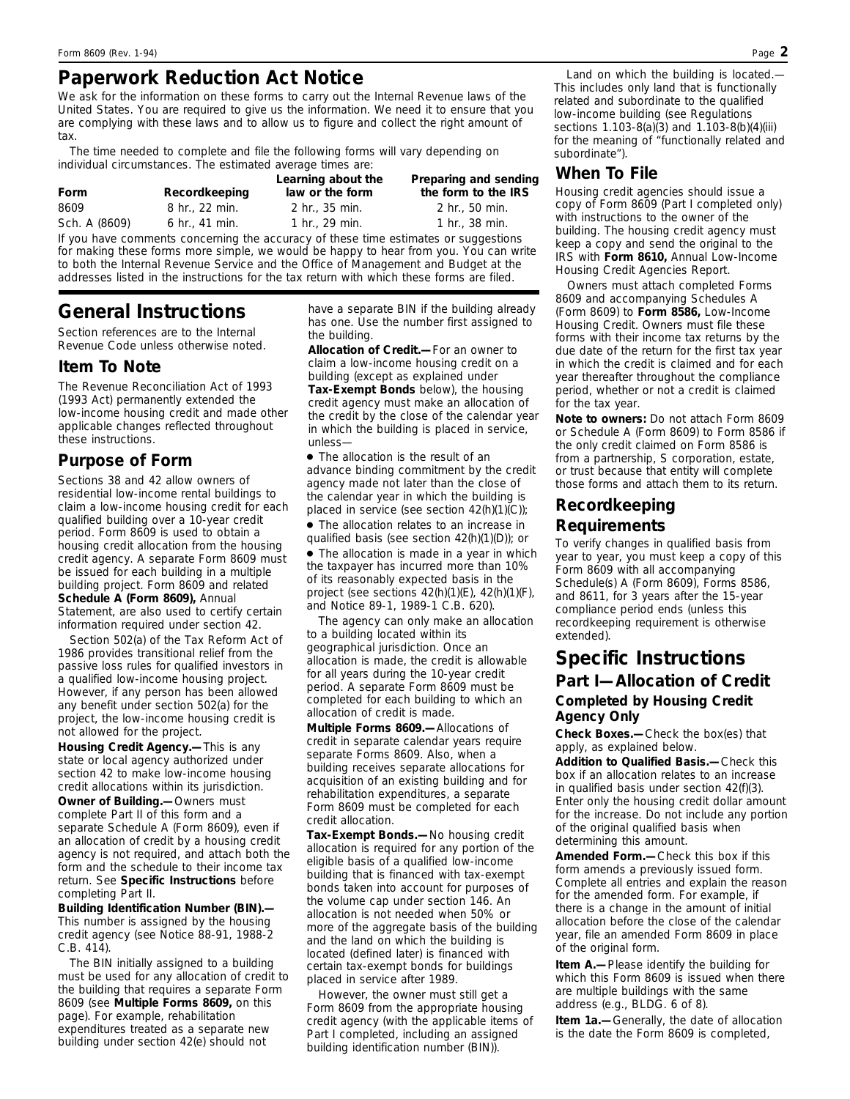# **Paperwork Reduction Act Notice**

We ask for the information on these forms to carry out the Internal Revenue laws of the United States. You are required to give us the information. We need it to ensure that you are complying with these laws and to allow us to figure and collect the right amount of tax.

The time needed to complete and file the following forms will vary depending on individual circumstances. The estimated average times are:

| Form          | Recordkeeping              | Learning about the<br>law or the form | Preparing and sending<br>the form to the IRS |
|---------------|----------------------------|---------------------------------------|----------------------------------------------|
| 8609          | $8 \; \text{hr}$ . 22 min. | $2 \text{ hr}$ . 35 min.              | $2 \text{ hr}$ . 50 min.                     |
| Sch. A (8609) | 6 hr., 41 min.             | 1 hr., 29 min.                        | 1 hr., $38 \text{ min}$ .                    |
|               |                            |                                       |                                              |

If you have comments concerning the accuracy of these time estimates or suggestions for making these forms more simple, we would be happy to hear from you. You can write to both the Internal Revenue Service and the Office of Management and Budget at the addresses listed in the instructions for the tax return with which these forms are filed.

# **General Instructions**

*Section references are to the Internal Revenue Code unless otherwise noted.*

### **Item To Note**

The Revenue Reconciliation Act of 1993 (1993 Act) permanently extended the low-income housing credit and made other applicable changes reflected throughout these instructions.

## **Purpose of Form**

Sections 38 and 42 allow owners of residential low-income rental buildings to claim a low-income housing credit for each qualified building over a 10-year credit period. Form 8609 is used to obtain a housing credit allocation from the housing credit agency. A separate Form 8609 must be issued for each building in a multiple building project. Form 8609 and related **Schedule A (Form 8609),** Annual Statement, are also used to certify certain information required under section 42.

Section 502(a) of the Tax Reform Act of 1986 provides transitional relief from the passive loss rules for qualified investors in a qualified low-income housing project. However, if any person has been allowed any benefit under section 502(a) for the project, the low-income housing credit is not allowed for the project.

**Housing Credit Agency.—**This is any state or local agency authorized under section 42 to make low-income housing credit allocations within its jurisdiction.

**Owner of Building.—**Owners must complete Part II of this form and a separate Schedule A (Form 8609), even if an allocation of credit by a housing credit agency is not required, and attach both the form and the schedule to their income tax return. See **Specific Instructions** before completing Part II.

**Building Identification Number (BIN).—** This number is assigned by the housing credit agency (see Notice 88-91, 1988-2 C.B. 414).

The BIN initially assigned to a building must be used for any allocation of credit to the building that requires a separate Form 8609 (see **Multiple Forms 8609,** on this page). For example, rehabilitation expenditures treated as a separate new building under section 42(e) should not

have a separate BIN if the building already has one. Use the number first assigned to the building.

**Allocation of Credit.—**For an owner to claim a low-income housing credit on a building (except as explained under **Tax-Exempt Bonds** below), the housing credit agency must make an allocation of the credit by the close of the calendar year in which the building is placed in service, unless—

● The allocation is the result of an advance binding commitment by the credit agency made not later than the close of the calendar year in which the building is placed in service (see section  $42(h)(1)(C)$ );

● The allocation relates to an increase in qualified basis (see section 42(h)(1)(D)); or

• The allocation is made in a year in which the taxpayer has incurred more than 10% of its reasonably expected basis in the project (see sections 42(h)(1)(E), 42(h)(1)(F), and Notice 89-1, 1989-1 C.B. 620).

The agency can only make an allocation to a building located within its geographical jurisdiction. Once an allocation is made, the credit is allowable for all years during the 10-year credit period. A separate Form 8609 must be completed for each building to which an allocation of credit is made.

**Multiple Forms 8609.—**Allocations of credit in separate calendar years require separate Forms 8609. Also, when a building receives separate allocations for acquisition of an existing building and for rehabilitation expenditures, a separate Form 8609 must be completed for each credit allocation.

**Tax-Exempt Bonds.—**No housing credit allocation is required for any portion of the eligible basis of a qualified low-income building that is financed with tax-exempt bonds taken into account for purposes of the volume cap under section 146. An allocation is not needed when 50% or more of the aggregate basis of the building and the land on which the building is located (defined later) is financed with certain tax-exempt bonds for buildings placed in service after 1989.

However, the owner must still get a Form 8609 from the appropriate housing credit agency (with the applicable items of Part I completed, including an assigned building identification number (BIN)).

*Land on which the building is located.*— This includes only land that is functionally related and subordinate to the qualified low-income building (see Regulations sections 1.103-8(a)(3) and 1.103-8(b)(4)(iii) for the meaning of "functionally related and subordinate").

## **When To File**

Housing credit agencies should issue a copy of Form 8609 (Part I completed only) with instructions to the owner of the building. The housing credit agency must keep a copy and send the original to the IRS with **Form 8610,** Annual Low-Income Housing Credit Agencies Report.

Owners must attach completed Forms 8609 and accompanying Schedules A (Form 8609) to **Form 8586,** Low-Income Housing Credit. Owners must file these forms with their income tax returns by the due date of the return for the first tax year in which the credit is claimed and for each year thereafter throughout the compliance period, whether or not a credit is claimed for the tax year.

**Note to owners:** *Do not attach Form 8609 or Schedule A (Form 8609) to Form 8586 if the only credit claimed on Form 8586 is from a partnership, S corporation, estate, or trust because that entity will complete those forms and attach them to its return.*

### **Recordkeeping**

#### **Requirements**

To verify changes in qualified basis from year to year, you must keep a copy of this Form 8609 with all accompanying Schedule(s) A (Form 8609), Forms 8586, and 8611, for 3 years after the 15-year compliance period ends (unless this recordkeeping requirement is otherwise extended).

# **Specific Instructions Part I—Allocation of Credit**

#### **Completed by Housing Credit Agency Only**

**Check Boxes.—**Check the box(es) that apply, as explained below.

**Addition to Qualified Basis.—**Check this box if an allocation relates to an increase in qualified basis under section 42(f)(3). Enter only the housing credit dollar amount for the increase. Do not include any portion of the original qualified basis when determining this amount.

**Amended Form.—**Check this box if this form amends a previously issued form. Complete all entries and explain the reason for the amended form. For example, if there is a change in the amount of initial allocation before the close of the calendar year, file an amended Form 8609 in place of the original form.

**Item A.—**Please identify the building for which this Form 8609 is issued when there are multiple buildings with the same address (e.g., BLDG. 6 of 8).

**Item 1a.—**Generally, the date of allocation is the date the Form 8609 is completed,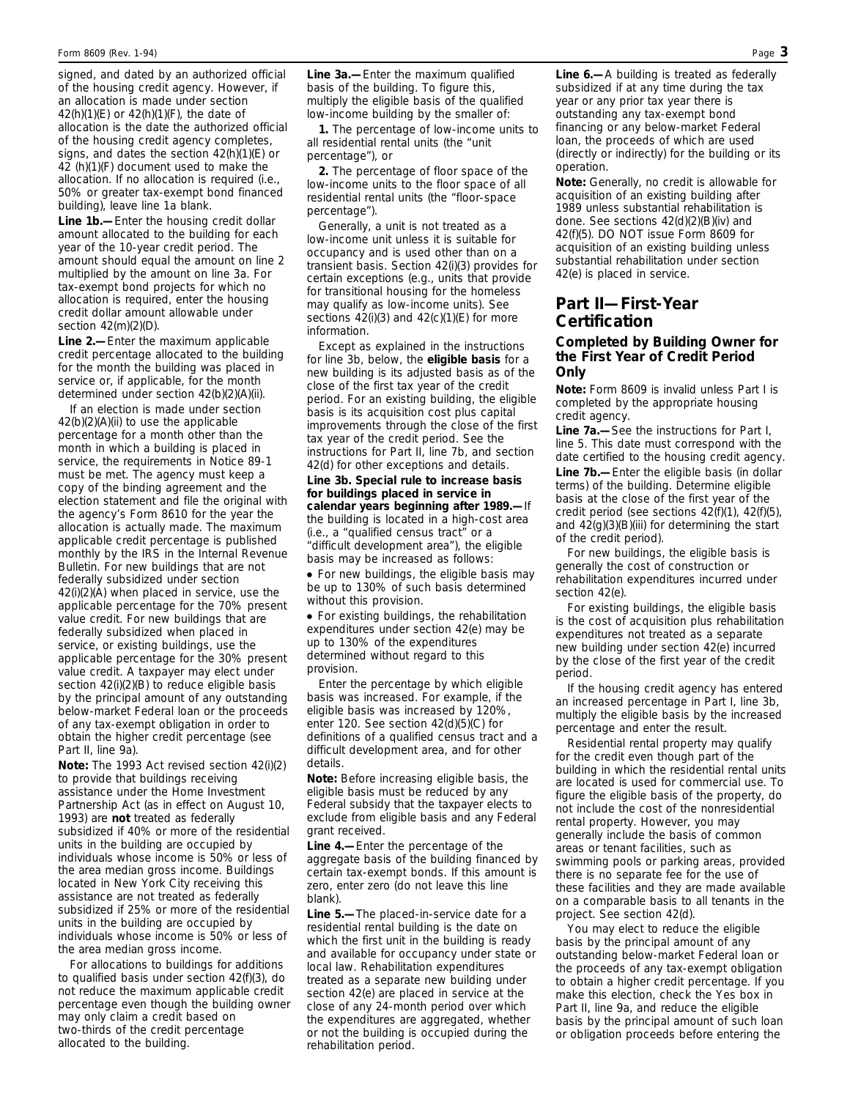signed, and dated by an authorized official of the housing credit agency. However, if an allocation is made under section 42(h)(1)(E) or 42(h)(1)(F), the date of allocation is the date the authorized official of the housing credit agency completes, signs, and dates the section 42(h)(1)(E) or 42 (h)(1)(F) document used to make the allocation. If no allocation is required (i.e., 50% or greater tax-exempt bond financed building), leave line 1a blank.

**Line 1b.—**Enter the housing credit dollar amount allocated to the building for each year of the 10-year credit period. The amount should equal the amount on line 2 multiplied by the amount on line 3a. For tax-exempt bond projects for which no allocation is required, enter the housing credit dollar amount allowable under section 42(m)(2)(D).

**Line 2.—**Enter the maximum applicable credit percentage allocated to the building for the month the building was placed in service or, if applicable, for the month determined under section 42(b)(2)(A)(ii).

If an election is made under section 42(b)(2)(A)(ii) to use the applicable percentage for a month other than the month in which a building is placed in service, the requirements in Notice 89-1 must be met. The agency must keep a copy of the binding agreement and the election statement and file the original with the agency's Form 8610 for the year the allocation is actually made. The maximum applicable credit percentage is published monthly by the IRS in the Internal Revenue Bulletin. For new buildings that are not federally subsidized under section 42(i)(2)(A) when placed in service, use the applicable percentage for the 70% present value credit. For new buildings that are federally subsidized when placed in service, or existing buildings, use the applicable percentage for the 30% present value credit. A taxpayer may elect under section 42(i)(2)(B) to reduce eligible basis by the principal amount of any outstanding below-market Federal loan or the proceeds of any tax-exempt obligation in order to obtain the higher credit percentage (see Part II, line 9a).

**Note:** *The 1993 Act revised section 42(i)(2) to provide that buildings receiving assistance under the Home Investment Partnership Act (as in effect on August 10, 1993) are* **not** *treated as federally subsidized if 40% or more of the residential units in the building are occupied by individuals whose income is 50% or less of the area median gross income. Buildings located in New York City receiving this assistance are not treated as federally subsidized if 25% or more of the residential units in the building are occupied by individuals whose income is 50% or less of the area median gross income.*

For allocations to buildings for additions to qualified basis under section 42(f)(3), do not reduce the maximum applicable credit percentage even though the building owner may only claim a credit based on two-thirds of the credit percentage allocated to the building.

**Line 3a.—**Enter the maximum qualified basis of the building. To figure this, multiply the eligible basis of the qualified low-income building by the smaller of:

**1.** The percentage of low-income units to all residential rental units (the "unit percentage"), or

**2.** The percentage of floor space of the low-income units to the floor space of all residential rental units (the "floor-space percentage").

Generally, a unit is not treated as a low-income unit unless it is suitable for occupancy and is used other than on a transient basis. Section 42(i)(3) provides for certain exceptions (e.g., units that provide for transitional housing for the homeless may qualify as low-income units). See sections 42(i)(3) and 42(c)(1)(E) for more information.

Except as explained in the instructions for line 3b, below, the **eligible basis** for a new building is its adjusted basis as of the close of the first tax year of the credit period. For an existing building, the eligible basis is its acquisition cost plus capital improvements through the close of the first tax year of the credit period. See the instructions for Part II, line 7b, and section 42(d) for other exceptions and details.

**Line 3b. Special rule to increase basis for buildings placed in service in calendar years beginning after 1989.—**If the building is located in a high-cost area (i.e., a "qualified census tract" or a "difficult development area"), the eligible basis may be increased as follows:

• For new buildings, the eligible basis may be up to 130% of such basis determined without this provision.

● For existing buildings, the rehabilitation expenditures under section 42(e) may be up to 130% of the expenditures determined without regard to this provision.

Enter the percentage by which eligible basis was increased. For example, if the eligible basis was increased by 120%, enter 120. See section 42(d)(5)(C) for definitions of a qualified census tract and a difficult development area, and for other details.

**Note:** *Before increasing eligible basis, the eligible basis must be reduced by any Federal subsidy that the taxpayer elects to exclude from eligible basis and any Federal grant received.*

**Line 4.—**Enter the percentage of the aggregate basis of the building financed by certain tax-exempt bonds. If this amount is zero, enter zero (do not leave this line blank).

**Line 5.—**The placed-in-service date for a residential rental building is the date on which the first unit in the building is ready and available for occupancy under state or local law. Rehabilitation expenditures treated as a separate new building under section 42(e) are placed in service at the close of any 24-month period over which the expenditures are aggregated, whether or not the building is occupied during the rehabilitation period.

**Line 6.—**A building is treated as federally subsidized if at any time during the tax year or any prior tax year there is outstanding any tax-exempt bond financing or any below-market Federal loan, the proceeds of which are used (directly or indirectly) for the building or its operation.

**Note:** *Generally, no credit is allowable for acquisition of an existing building after 1989 unless substantial rehabilitation is done. See sections 42(d)(2)(B)(iv) and 42(f)(5). DO NOT issue Form 8609 for acquisition of an existing building unless substantial rehabilitation under section 42(e) is placed in service.*

#### **Part II—First-Year Certification Completed by Building Owner for the First Year of Credit Period**

**Only**

**Note:** *Form 8609 is invalid unless Part I is completed by the appropriate housing credit agency.*

**Line 7a.—**See the instructions for Part I, line 5. This date must correspond with the date certified to the housing credit agency. **Line 7b.—**Enter the eligible basis (in dollar terms) of the building. Determine eligible basis at the close of the first year of the credit period (see sections 42(f)(1), 42(f)(5), and 42(g)(3)(B)(iii) for determining the start of the credit period).

For new buildings, the eligible basis is generally the cost of construction or rehabilitation expenditures incurred under section 42(e).

For existing buildings, the eligible basis is the cost of acquisition plus rehabilitation expenditures not treated as a separate new building under section 42(e) incurred by the close of the first year of the credit period.

If the housing credit agency has entered an increased percentage in Part I, line 3b, multiply the eligible basis by the increased percentage and enter the result.

Residential rental property may qualify for the credit even though part of the building in which the residential rental units are located is used for commercial use. To figure the eligible basis of the property, do not include the cost of the nonresidential rental property. However, you may generally include the basis of common areas or tenant facilities, such as swimming pools or parking areas, provided there is no separate fee for the use of these facilities and they are made available on a comparable basis to all tenants in the project. See section 42(d).

You may elect to reduce the eligible basis by the principal amount of any outstanding below-market Federal loan or the proceeds of any tax-exempt obligation to obtain a higher credit percentage. If you make this election, check the Yes box in Part II, line 9a, and reduce the eligible basis by the principal amount of such loan or obligation proceeds before entering the